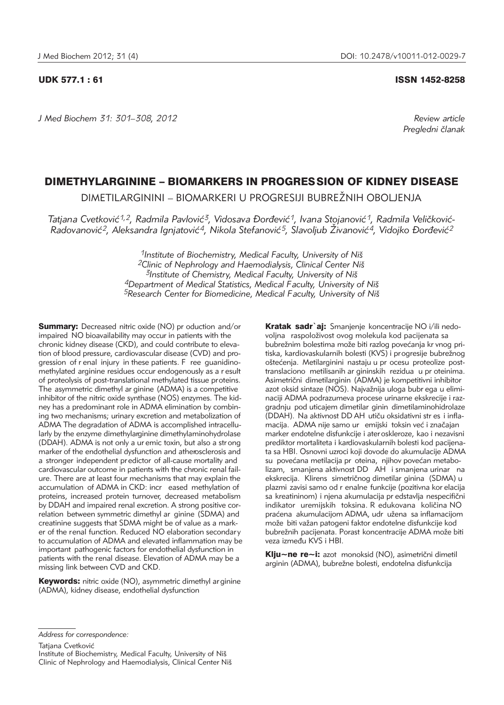*J Med Biochem 31: 301–308, 2012 Review article*

UDK 577.1 : 61 ISSN 1452-8258

*Pregledni ~lanak*

# DIMETHYLARGININE – BIOMARKERS IN PROGRESSION OF KIDNEY DISEASE

DIMETILARGININI – BIOMARKERI U PROGRESIJI BUBREŽNIH OBOLJENJA

Tatjana Cvetković<sup>1,2</sup>, Radmila Pavlović<sup>3</sup>, Vidosava Đorđević<sup>1</sup>, Ivana Stojanović<sup>1</sup>, Radmila Veličković-Radovanović<sup>2</sup>, Aleksandra Ignjatović<sup>4</sup>, Nikola Stefanović<sup>5</sup>, Slavoljub Živanović<sup>4</sup>, Vidojko Đorđević<sup>2</sup>

> *1Institute of Biochemistry, Medical Faculty, University of Ni{ 2Clinic of Nephrology and Haemodialysis, Clinical Center Ni{ 3Institute of Chemistry, Medical Faculty, University of Ni{ 4Department of Medical Statistics, Medical Faculty, University of Ni{ 5Research Center for Biomedicine, Medical Faculty, University of Ni{*

**Summary:** Decreased nitric oxide (NO) pr oduction and/or impaired NO bioavailability may occur in patients with the chronic kidney disease (CKD), and could contribute to elevation of blood pressure, cardiovascular disease (CVD) and progression of r enal injury in these patients. F ree guanidinomethylated arginine residues occur endogenously as a r esult of proteolysis of post-translational methylated tissue proteins. The asymmetric dimethyl ar ginine (ADMA) is a competitive inhibitor of the nitric oxide synthase (NOS) enzymes. The kidney has a predominant role in ADMA elimination by combining two mechanisms; urinary excretion and metabolization of ADMA The degradation of ADMA is accomplished intracellularly by the enzyme dimethylarginine dimethylaminohydrolase (DDAH). ADMA is not only a ur emic toxin, but also a str ong marker of the endothelial dysfunction and atherosclerosis and a stronger independent pr edictor of all-cause mortality and cardiovascular outcome in patients with the chronic renal failure. There are at least four mechanisms that may explain the accumulation of ADMA in CKD: incr eased methylation of proteins, increased protein turnover, decreased metabolism by DDAH and impaired renal excretion. A strong positive correlation between symmetric dimethyl ar ginine (SDMA) and creatinine suggests that SDMA might be of value as a marker of the renal function. Reduced NO elaboration secondar y to accumulation of ADMA and elevated inflammation may be important pathogenic factors for endothelial dysfunction in patients with the renal disease. Elevation of ADMA may be a missing link between CVD and CKD.

Keywords: nitric oxide (NO), asymmetric dimethyl arginine (ADMA), kidney disease, endothelial dysfunction

Kratak sadr`ai: Smanienie koncentracije NO i/ili nedovoljna raspoloživost ovog molekula kod pacijenata sa bubrežnim bolestima može biti razlog povećanja kr vnog pritiska, kardiovaskularnih bolesti (KVS) i progresije bubrežnog oštećenja. Metilarginini nastaju u pr ocesu proteolize posttranslaciono metilisanih ar gininskih rezidua u pr oteinima. Asimetrični dimetilarginin (ADMA) je kompetitivni inhibitor azot oksid sintaze (NOS). Najvažnija uloga bubr ega u eliminaciji ADMA podrazumeva procese urinarne ekskrecije i razgradnju pod uticajem dimetilar ginin dimetilaminohidrolaze (DDAH). Na aktivnost DD AH utiču oksidativni str es i inflamacija. ADMA nije samo ur emijski toksin već i značajan marker endotelne disfunkcije i ater oskleroze, kao i nezavisni prediktor mortaliteta i kardiovaskularnih bolesti kod pacijenata sa HBI. Osnovni uzroci koji dovode do akumulacije ADMA su povećana metilacija pr oteina, njihov povećan metabolizam, smanjena aktivnost DD AH i smanjena urinar na ekskrecija. Klirens simetričnog dimetilar ginina (SDMA) u plazmi zavisi samo od r enalne funkcije (pozitivna kor elacija sa kreatininom) i njena akumulacija pr edstavlja nespecifični indikator uremijskih toksina. R edukovana količina NO praćena akumulacijom ADMA, udr užena sa inflamacijom može biti važan patogeni faktor endotelne disfunkcije kod bubrežnih pacijenata. Porast koncentracije ADMA može biti veza između KVS i HBI.

Klju~ne re~i: azot monoksid (NO), asimetrični dimetil arginin (ADMA), bubrežne bolesti, endotelna disfunkcija

Tatjana Cvetković

*Address for correspondence:*

Institute of Biochemistry, Medical Faculty, University of Niš Clinic of Nephrology and Haemodialysis, Clinical Center Niš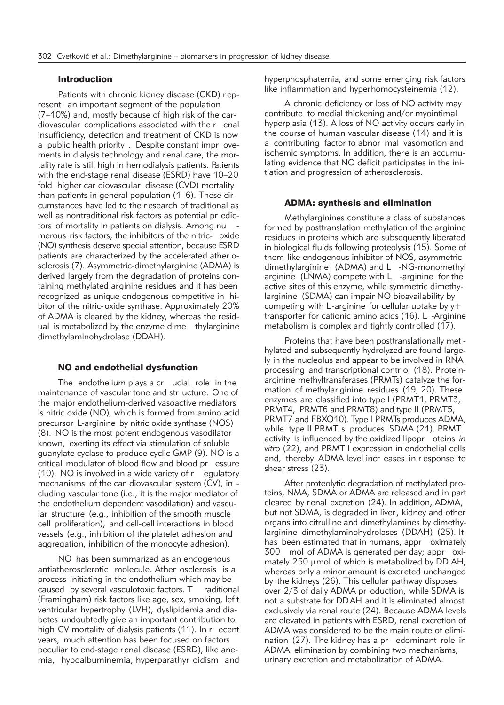### Introduction

Patients with chronic kidney disease (CKD) r epresent an important segment of the population (7–10%) and, mostly because of high risk of the cardiovascular complications associated with the r enal insufficiency, detection and treatment of CKD is now a public health priority . Despite constant impr ovements in dialysis technology and renal care, the mortality rate is still high in hemodialysis patients. Patients with the end-stage renal disease (ESRD) have 10–20 fold higher car diovascular disease (CVD) mortality than patients in general population (1–6). These circumstances have led to the r esearch of traditional as well as nontraditional risk factors as potential pr edictors of mortality in patients on dialysis. Among nu merous risk factors, the inhibitors of the nitric- oxide (NO) synthesis deserve special attention, because ESRD patients are characterized by the accelerated ather osclerosis (7). Asymmetric-dimethylarginine (ADMA) is derived largely from the degradation of proteins containing methylated arginine residues and it has been recognized as unique endogenous competitive in hibitor of the nitric-oxide synthase. Approximately 20% of ADMA is cleared by the kidney, whereas the residual is metabolized by the enzyme dime thylarginine dimethylaminohydrolase (DDAH).

#### NO and endothelial dysfunction

The endothelium plays a cr ucial role in the maintenance of vascular tone and str ucture. One of the major endothelium-derived vasoactive mediators is nitric oxide (NO), which is formed from amino acid precursor L-arginine by nitric oxide synthase (NOS) (8). NO is the most potent endogenous vasodilator known, exerting its effect via stimulation of soluble guanylate cyclase to produce cyclic GMP (9). NO is a critical modulator of blood flow and blood pr essure (10). NO is involved in a wide variety of r egulatory mechanisms of the car diovascular system (CV), in cluding vascular tone (i.e., it is the major mediator of the endothelium dependent vasodilation) and vascular structure (e.g., inhibition of the smooth muscle cell proliferation), and cell-cell interactions in blood vessels (e.g., inhibition of the platelet adhesion and aggregation, inhibition of the monocyte adhesion).

NO has been summarized as an endogenous antiatherosclerotic molecule. Ather osclerosis is a process initiating in the endothelium which may be caused by several vasculotoxic factors. T raditional (Framingham) risk factors like age, sex, smoking, lef t ventricular hypertrophy (LVH), dyslipidemia and diabetes undoubtedly give an important contribution to high CV mortality of dialysis patients (11). In r ecent years, much attention has been focused on factors peculiar to end-stage renal disease (ESRD), like anemia, hypoalbuminemia, hyperparathyr oidism and hyperphosphatemia, and some emer ging risk factors like inflammation and hyperhomocysteinemia (12).

A chronic deficiency or loss of NO activity may contribute to medial thickening and/or myointimal hyperplasia (13). A loss of NO activity occurs early in the course of human vascular disease (14) and it is a contributing factor to abnor mal vasomotion and ischemic symptoms. In addition, there is an accumulating evidence that NO deficit participates in the initiation and progression of atherosclerosis.

#### ADMA: synthesis and elimination

Methylarginines constitute a class of substances formed by posttranslation methylation of the arginine residues in proteins which are subsequently liberated in biological fluids following proteolysis (15). Some of them like endogenous inhibitor of NOS, asymmetric dimethylarginine (ADMA) and L -NG-monomethyl arginine (LNMA) compete with  $L$  -arginine for the active sites of this enzyme, while symmetric dimethylarginine (SDMA) can impair NO bioavailability by competing with L-arginine for cellular uptake by y+ transporter for cationic amino acids (16). L -Arginine metabolism is complex and tightly controlled (17).

Proteins that have been posttranslationally met hylated and subsequently hydrolyzed are found largely in the nucleolus and appear to be involved in RNA processing and transcriptional contr ol (18). Proteinarginine methyltransferases (PRMTs) catalyze the formation of methylar ginine residues (19, 20). These enzymes are classified into type I (PRMT1, PRMT3, PRMT4, PRMT6 and PRMT8) and type II (PRMT5, PRMT7 and FBXO10). Type I PRMTs produces ADMA, while type II PRMT s produces SDMA (21). PRMT activity is influenced by the oxidized lipopr oteins *in vitro* (22), and PRMT I expression in endothelial cells and, thereby ADMA level incr eases in r esponse to shear stress (23).

After proteolytic degradation of methylated proteins, NMA, SDMA or ADMA are released and in part cleared by renal excretion (24). In addition, ADMA, but not SDMA, is degraded in liver, kidney and other organs into citrulline and dimethylamines by dimethylarginine dimethylaminohydrolases (DDAH) (25). It has been estimated that in humans, appr oximately 300 mol of ADMA is generated per day; appr oximately  $250 \mu$  mol of which is metabolized by DD AH, whereas only a minor amount is excreted unchanged by the kidneys (26). This cellular pathway disposes over 2/3 of daily ADMA pr oduction, while SDMA is not a substrate for DDAH and it is eliminated almost exclusively via renal route (24). Because ADMA levels are elevated in patients with ESRD, renal excretion of ADMA was considered to be the main route of elimination (27). The kidney has a pr edominant role in ADMA elimination by combining two mechanisms; urinary excretion and metabolization of ADMA.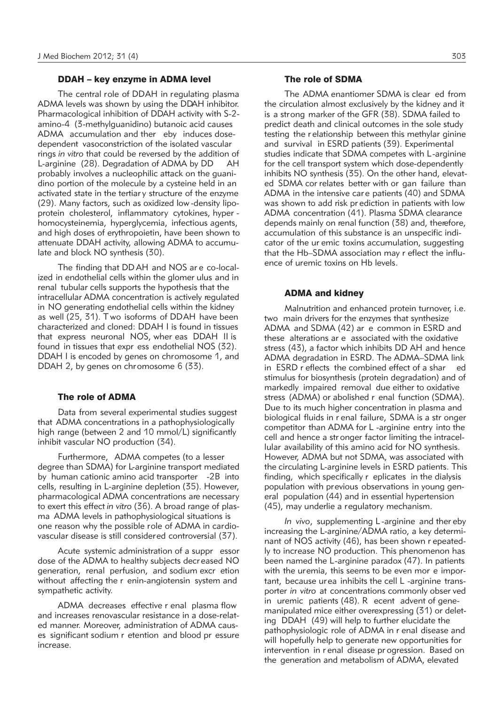### DDAH – key enzyme in ADMA level

The central role of DDAH in regulating plasma ADMA levels was shown by using the DDAH inhibitor. Pharmacological inhibition of DDAH activity with S-2 amino-4 (3-methylguanidino) butanoic acid causes ADMA accumulation and ther eby induces dosedependent vasoconstriction of the isolated vascular rings *in vitro* that could be reversed by the addition of L-arginine (28). Degradation of ADMA by DD AH probably involves a nucleophilic attack on the guanidino portion of the molecule by a cysteine held in an activated state in the tertiar y structure of the enzyme (29). Many factors, such as oxidized low-density lipoprotein cholesterol, inflammatory cytokines, hyper homocysteinemia, hyperglycemia, infectious agents, and high doses of erythropoietin, have been shown to attenuate DDAH activity, allowing ADMA to accumulate and block NO synthesis (30).

The finding that DD AH and NOS ar e co-localized in endothelial cells within the glomer ulus and in renal tubular cells supports the hypothesis that the intracellular ADMA concentration is actively regulated in NO generating endothelial cells within the kidney as well (25, 31). T wo isoforms of DDAH have been characterized and cloned: DDAH I is found in tissues that express neuronal NOS, wher eas DDAH II is found in tissues that expr ess endothelial NOS (32). DDAH I is encoded by genes on chromosome 1, and DDAH 2, by genes on chromosome 6 (33).

#### The role of ADMA

Data from several experimental studies suggest that ADMA concentrations in a pathophysiologically high range (between 2 and 10 mmol/L) significantly inhibit vascular NO production (34).

Furthermore, ADMA competes (to a lesser degree than SDMA) for L-arginine transport mediated by human cationic amino acid transporter -2B into cells, resulting in L-arginine depletion (35). However, pharmacological ADMA concentrations are necessary to exert this effect *in vitro* (36). A broad range of plasma ADMA levels in pathophysiological situations is one reason why the possible role of ADMA in cardiovascular disease is still considered controversial (37).

Acute systemic administration of a suppr essor dose of the ADMA to healthy subjects decr eased NO generation, renal perfusion, and sodium excr etion without affecting the r enin-angiotensin system and sympathetic activity.

ADMA decreases effective r enal plasma flow and increases renovascular resistance in a dose-related manner. Moreover, administration of ADMA causes significant sodium r etention and blood pr essure increase.

## The role of SDMA

The ADMA enantiomer SDMA is clear ed from the circulation almost exclusively by the kidney and it is a strong marker of the GFR (38). SDMA failed to predict death and clinical outcomes in the sole study testing the r elationship between this methylar ginine and survival in ESRD patients (39). Experimental studies indicate that SDMA competes with L-arginine for the cell transport system which dose-dependently inhibits NO synthesis (35). On the other hand, elevated SDMA cor relates better with or gan failure than ADMA in the intensive care patients (40) and SDMA was shown to add risk pr ediction in patients with low ADMA concentration (41). Plasma SDMA clearance depends mainly on renal function (38) and, therefore, accumulation of this substance is an unspecific indicator of the ur emic toxins accumulation, suggesting that the Hb–SDMA association may r eflect the influence of uremic toxins on Hb levels.

#### ADMA and kidney

Malnutrition and enhanced protein turnover, i.e. two main drivers for the enzymes that synthesize ADMA and SDMA (42) ar e common in ESRD and these alterations ar e associated with the oxidative stress (43), a factor which inhibits DD AH and hence ADMA degradation in ESRD. The ADMA–SDMA link in ESRD r eflects the combined effect of a shar ed stimulus for biosynthesis (protein degradation) and of markedly impaired removal due either to oxidative stress (ADMA) or abolished r enal function (SDMA). Due to its much higher concentration in plasma and biological fluids in r enal failure, SDMA is a str onger competitor than ADMA for L -arginine entry into the cell and hence a str onger factor limiting the intracellular availability of this amino acid for NO synthesis. However, ADMA but not SDMA, was associated with the circulating L-arginine levels in ESRD patients. This finding, which specifically r eplicates in the dialysis population with previous observations in young general population (44) and in essential hypertension (45), may underlie a regulatory mechanism.

*In vivo*, supplementing L -arginine and ther eby increasing the L-arginine/ADMA ratio, a key determinant of NOS activity (46), has been shown r epeatedly to increase NO production. This phenomenon has been named the L-arginine paradox (47). In patients with the uremia, this seems to be even mor e important, because urea inhibits the cell L -arginine transporter *in vitro* at concentrations commonly obser ved in uremic patients (48). R ecent advent of genemanipulated mice either overexpressing (31) or deleting DDAH (49) will help to further elucidate the pathophysiologic role of ADMA in r enal disease and will hopefully help to generate new opportunities for intervention in r enal disease pr ogression. Based on the generation and metabolism of ADMA, elevated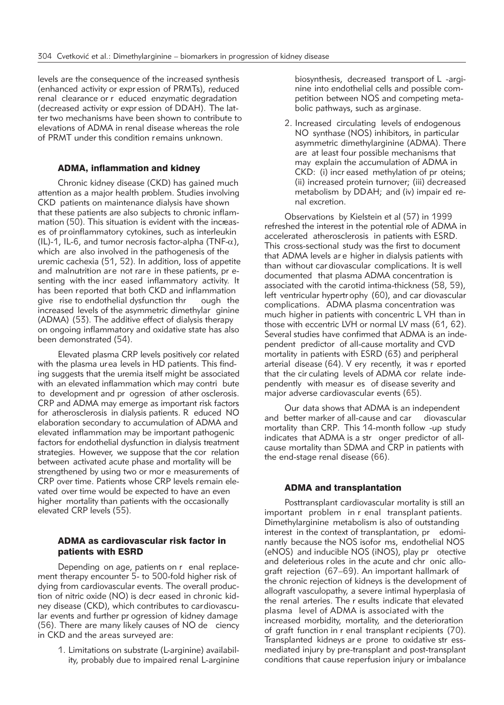levels are the consequence of the increased synthesis (enhanced activity or expr ession of PRMTs), reduced renal clearance or r educed enzymatic degradation (decreased activity or expr ession of DDAH). The latter two mechanisms have been shown to contribute to elevations of ADMA in renal disease whereas the role of PRMT under this condition remains unknown.

## ADMA, inflammation and kidney

Chronic kidney disease (CKD) has gained much attention as a major health problem. Studies involving CKD patients on maintenance dialysis have shown that these patients are also subjects to chronic inflammation (50). This situation is evident with the increases of proinflammatory cytokines, such as interleukin (IL)-1, IL-6, and tumor necrosis factor-alpha (TNF- $\alpha$ ), which are also involved in the pathogenesis of the uremic cachexia (51, 52). In addition, loss of appetite and malnutrition are not rare in these patients, pr esenting with the incr eased inflammatory activity. It has been reported that both CKD and inflammation give rise to endothelial dysfunction thr ough the increased levels of the asymmetric dimethylar ginine (ADMA) (53). The additive effect of dialysis therapy on ongoing inflammatory and oxidative state has also been demonstrated (54).

Elevated plasma CRP levels positively cor related with the plasma urea levels in HD patients. This finding suggests that the uremia itself might be associated with an elevated inflammation which may contri bute to development and pr ogression of ather osclerosis. CRP and ADMA may emerge as important risk factors for atherosclerosis in dialysis patients. R educed NO elaboration secondary to accumulation of ADMA and elevated inflammation may be important pathogenic factors for endothelial dysfunction in dialysis treatment strategies. However, we suppose that the cor relation between activated acute phase and mortality will be strengthened by using two or mor e measurements of CRP over time. Patients whose CRP levels remain elevated over time would be expected to have an even higher mortality than patients with the occasionally elevated CRP levels (55).

## ADMA as cardiovascular risk factor in patients with ESRD

Depending on age, patients on r enal replacement therapy encounter 5- to 500-fold higher risk of dying from cardiovascular events. The overall production of nitric oxide (NO) is decr eased in chronic kidney disease (CKD), which contributes to cardiovascular events and further pr ogression of kidney damage (56). There are many likely causes of NO de ciency in CKD and the areas surveyed are:

> 1. Limitations on substrate (L-arginine) availability, probably due to impaired renal L-arginine

biosynthesis, decreased transport of L -arginine into endothelial cells and possible competition between NOS and competing metabolic pathways, such as arginase.

2. Increased circulating levels of endogenous NO synthase (NOS) inhibitors, in particular asymmetric dimethylarginine (ADMA). There are at least four possible mechanisms that may explain the accumulation of ADMA in CKD: (i) incr eased methylation of pr oteins; (ii) increased protein turnover; (iii) decreased metabolism by DDAH; and (iv) impair ed renal excretion.

Observations by Kielstein et al (57) in 1999 refreshed the interest in the potential role of ADMA in accelerated atherosclerosis in patients with ESRD. This cross-sectional study was the first to document that ADMA levels ar e higher in dialysis patients with than without car diovascular complications. It is well documented that plasma ADMA concentration is associated with the carotid intima-thickness (58, 59), left ventricular hypertr ophy (60), and car diovascular complications. ADMA plasma concentration was much higher in patients with concentric L VH than in those with eccentric LVH or normal LV mass (61, 62). Several studies have confirmed that ADMA is an independent predictor of all-cause mortality and CVD mortality in patients with ESRD (63) and peripheral arterial disease (64). V ery recently, it was r eported that the cir culating levels of ADMA cor relate independently with measur es of disease severity and major adverse cardiovascular events (65).

Our data shows that ADMA is an independent and better marker of all-cause and car diovascular mortality than CRP. This 14-month follow -up study indicates that ADMA is a str onger predictor of allcause mortality than SDMA and CRP in patients with the end-stage renal disease (66).

## ADMA and transplantation

Posttransplant cardiovascular mortality is still an important problem in r enal transplant patients. Dimethylarginine metabolism is also of outstanding interest in the context of transplantation, pr edominantly because the NOS isofor ms, endothelial NOS (eNOS) and inducible NOS (iNOS), play pr otective and deleterious r oles in the acute and chr onic allograft rejection (67–69). An important hallmark of the chronic rejection of kidneys is the development of allograft vasculopathy, a severe intimal hyperplasia of the renal arteries. The r esults indicate that elevated plasma level of ADMA is associated with the increased morbidity, mortality, and the deterioration of graft function in r enal transplant r ecipients (70). Transplanted kidneys ar e prone to oxidative str essmediated injury by pre-transplant and post-transplant conditions that cause reperfusion injury or imbalance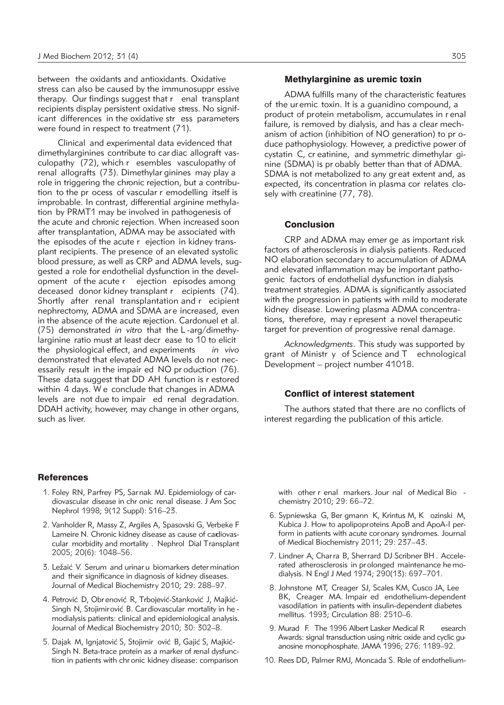between the oxidants and antioxidants. Oxidative stress can also be caused by the immunosuppr essive therapy. Our findings suggest that r enal transplant recipients display persistent oxidative stress. No significant differences in the oxidative str ess parameters were found in respect to treatment (71).

Clinical and experimental data evidenced that dimethylarginines contribute to car diac allograft vasculopathy (72), which r esembles vasculopathy of renal allografts (73). Dimethylar ginines may play a role in triggering the chronic rejection, but a contribution to the pr ocess of vascular r emodelling itself is improbable. In contrast, differential arginine methylation by PRMT1 may be involved in pathogenesis of the acute and chronic rejection. When increased soon after transplantation, ADMA may be associated with the episodes of the acute r ejection in kidney transplant recipients. The presence of an elevated systolic blood pressure, as well as CRP and ADMA levels, suggested a role for endothelial dysfunction in the development of the acute r ejection episodes among deceased donor kidney transplant r ecipients (74). Shortly after renal transplantation and r ecipient nephrectomy, ADMA and SDMA are increased, even in the absence of the acute rejection. Cardonuel et al. (75) demonstrated *in vitro* that the L -arg/dimethylarginine ratio must at least decr ease to 10 to elicit the physiological effect, and experiments *in vivo* demonstrated that elevated ADMA levels do not necessarily result in the impair ed NO pr oduction (76). These data suggest that DD AH function is r estored within 4 days. W e conclude that changes in ADMA levels are not due to impair ed renal degradation. DDAH activity, however, may change in other organs, such as liver.

#### **References**

- 1. Foley RN, Parfrey PS, Sarnak MJ. Epidemiology of cardiovascular disease in chr onic renal disease. J Am Soc Nephrol 1998; 9(12 Suppl): S16–23.
- 2. Vanholder R, Massy Z, Argiles A, Spasovski G, Verbeke F Lameire N. Chronic kidney disease as cause of cardiovascular morbidity and mortality . Nephrol Dial Transplant 2005; 20(6): 1048–56.
- 3. Ležaić V. Serum and urinar u biomarkers deter mination and their significance in diagnosis of kidney diseases. Journal of Medical Biochemistry 2010; 29: 288–97.
- 4. Petrović D, Obr enović R, Trbojević-Stanković J, Majkić-Singh N, Stojimirović B. Cardiovascular mortality in he modialysis patients: clinical and epidemiological analysis. Journal of Medical Biochemistry 2010; 30: 302–8.
- 5. Dajak M, Ignjatović S, Stojimir ović B, Gajić S, Majkić-Singh N. Beta-trace protein as a marker of renal dysfunction in patients with chr onic kidney disease: comparison

#### Methylarginine as uremic toxin

ADMA fulfills many of the characteristic features of the ur emic toxin. It is a guanidino compound, a product of protein metabolism, accumulates in r enal failure, is removed by dialysis, and has a clear mechanism of action (inhibition of NO generation) to pr oduce pathophysiology. However, a predictive power of cystatin C, cr eatinine, and symmetric dimethylar ginine (SDMA) is pr obably better than that of ADMA. SDMA is not metabolized to any gr eat extent and, as expected, its concentration in plasma cor relates closely with creatinine (77, 78).

## **Conclusion**

CRP and ADMA may emer ge as important risk factors of atherosclerosis in dialysis patients. Reduced NO elaboration secondary to accumulation of ADMA and elevated inflammation may be important pathogenic factors of endothelial dysfunction in dialysis treatment strategies. ADMA is significantly associated with the progression in patients with mild to moderate kidney disease. Lowering plasma ADMA concentrations, therefore, may r epresent a novel therapeutic target for prevention of progressive renal damage.

*Acknowledgments*. This study was supported by grant of Ministr y of Science and T echnological Development – project number 41018.

## Conflict of interest statement

The authors stated that there are no conflicts of interest regarding the publication of this article.

with other r enal markers. Jour nal of Medical Bio chemistry 2010; 29: 66–72.

- 6. Sypniewska G, Ber gmann K, Krintus M, K ozinski M, Kubica J. How to apolipoproteins ApoB and ApoA-I perform in patients with acute coronary syndromes. Journal of Medical Biochemistry 2011; 29: 237–43.
- 7. Lindner A, Charra B, Sherrard DJ Scribner BH . Accele rated atherosclerosis in prolonged maintenance he modialysis. N Engl J Med 1974; 290(13): 697–701.
- 8. Johnstone MT, Creager SJ, Scales KM, Cusco JA, Lee BK, Creager MA. Impair ed endothelium-dependent vasodilation in patients with insulin-dependent diabetes mellitus. 1993; Circulation 88: 2510–6.
- 9. Murad F. The 1996 Albert Lasker Medical R esearch Awards: signal transduction using nitric oxide and cyclic guanosine monophosphate. JAMA 1996; 276: 1189–92.
- 10. Rees DD, Palmer RMJ, Moncada S. Role of endothelium-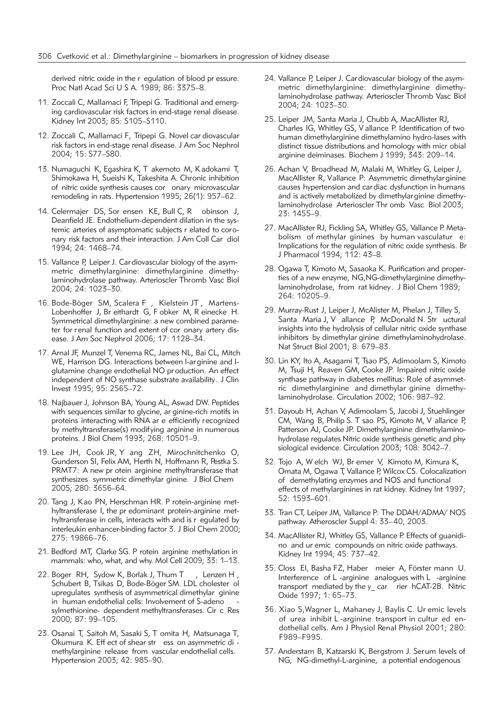derived nitric oxide in the r egulation of blood pr essure. Proc Natl Acad Sci U S A. 1989; 86: 3375–8.

- 11. Zoccali C, Mallamaci F, Tripepi G. Traditional and emerging cardiovascular risk factors in end-stage renal disease. Kidney Int 2003; 85: S105–S110.
- 12. Zoccali C, Mallamaci F, Tripepi G. Novel car diovascular risk factors in end-stage renal disease. J Am Soc Nephrol 2004; 15: S77–S80.
- 13. Numaguchi K, Egashira K, T akemoto M, K adokami T, Shimokawa H, Sueishi K, Takeshita A. Chronic inhibition of nitric oxide synthesis causes cor onary microvascular remodeling in rats. Hypertension 1995; 26(1): 957–62.
- 14. Celermajer DS, Sor ensen KE, Bull C, R obinson J, Deanfield JE. Endothelium-dependent dilation in the systemic arteries of asymptomatic subjects r elated to coronary risk factors and their interaction. J Am Coll Car diol 1994; 24: 1468–74.
- 15. Vallance P, Leiper J. Cardiovascular biology of the asymmetric dimethylarginine: dimethylarginine dimethylaminohydrolase pathway. Arterioscler Thromb Vasc Biol 2004; 24: 1023–30.
- 16. Bode-Böger SM, Scalera F , Kielstein JT , Martens-Lobenhoffer J, Br eithardt G, F obker M, R einecke H. Symmetrical dimethylarginine: a new combined parameter for renal function and extent of cor onary artery disease. J Am Soc Nephrol 2006; 17: 1128–34.
- 17. Arnal JF, Munzel T, Venema RC, James NL, Bai CL, Mitch WE, Harrison DG. Interactions between l-arginine and lglutamine change endothelial NO pr oduction. An effect independent of NO synthase substrate availability. J Clin Invest 1995; 95: 2565–72.
- 18. Najbauer J, Johnson BA, Young AL, Aswad DW. Peptides with sequences similar to glycine, ar ginine-rich motifs in proteins interacting with RNA ar e efficiently recognized by methyltransferase(s) modifying arginine in numerous proteins. J Biol Chem 1993; 268: 10501–9.
- 19. Lee JH, Cook JR, Y ang ZH, Mirochnitchenko O, Gunderson SI, Felix AM, Herth N, Hoffmann R, Pestka S. PRMT7: A new pr otein arginine methyltransferase that synthesizes symmetric dimethylar ginine. J Biol Chem 2005; 280: 3656–64.
- 20. Tang J, Kao PN, Herschman HR. P rotein-arginine met hyltransferase I, the pr edominant protein-arginine methyltransferase in cells, interacts with and is r egulated by interleukin enhancer-binding factor 3. J Biol Chem 2000; 275: 19866–76.
- 21. Bedford MT, Clarke SG. P rotein arginine methylation in mammals: who, what, and why. Mol Cell 2009; 33: 1-13.
- 22. Boger RH, Sydow K, Borlak J, Thum T, Lenzen H, Schubert B, Tsikas D, Bode-Böger SM. LDL cholester ol upregulates synthesis of asymmetrical dimethylar ginine in human endothelial cells: Involvement of S-adeno sylmethionine- dependent methyltransferases. Cir c Res 2000; 87: 99–105.
- 23. Osanai T, Saitoh M, Sasaki S, T omita H, Matsunaga T, Okumura K. Eff ect of shear str ess on asymmetric di methylarginine release from vascular endothelial cells. Hypertension 2003; 42: 985–90.
- 24. Vallance P, Leiper J. Cardiovascular biology of the asymmetric dimethylarginine: dimethylarginine dimethylaminohydrolase pathway. Arterioscler Thromb Vasc Biol 2004; 24: 1023–30.
- 25. Leiper JM, Santa Maria J, Chubb A, MacAllister RJ, Charles IG, Whitley GS, V allance P. Identification of two human dimethylarginine dimethylamino hydro-lases with distinct tissue distributions and homology with micr obial arginine deiminases. Biochem J 1999; 343: 209–14.
- 26. Achan V, Broadhead M, Malaki M, Whitley G, Leiper J, MacAllister R, Vallance P: Asymmetric dimethylarginine causes hypertension and car diac dysfunction in humans and is actively metabolized by dimethylarginine dimethylaminohydrolase Arterioscler Thr omb Vasc Biol 2003; 23: 1455–9.
- 27. MacAllister RJ, Fickling SA, Whitley GS, Vallance P. Metabolism of methylar ginines by human vasculatur e: Implications for the regulation of nitric oxide synthesis. Br J Pharmacol 1994; 112: 43–8.
- 28. Ogawa T, Kimoto M, Sasaoka K. Purification and properties of a new enzyme, NG,NG-dimethylarginine dimethylaminohydrolase, from rat kidney. J Biol Chem 1989; 264: 10205–9.
- 29. Murray-Rust J, Leiper J, McAlister M, Phelan J, Tilley S, Santa Maria J, V allance P, McDonald N. Str uctural insights into the hydrolysis of cellular nitric oxide synthase inhibitors by dimethylar ginine dimethylaminohydrolase. Nat Struct Biol 2001; 8: 679–83.
- 30. Lin KY, Ito A, Asagami T, Tsao PS, Adimoolam S, Kimoto M, Tsuji H, Reaven GM, Cooke JP. Impaired nitric oxide synthase pathway in diabetes mellitus: Role of asymmetric dimethylarginine and dimethylar ginine dimethylaminohydrolase. Circulation 2002; 106: 987–92.
- 31. Dayoub H, Achan V, Adimoolam S, Jacobi J, Stuehlinger CM, Wang B, Philip S. T sao PS, Kimoto M, V allance P, Patterson AJ, Cooke JP. Dimethylarginine dimethylaminohydrolase regulates Nitric oxide synthesis genetic and phy siological evidence. Circulation 2003; 108: 3042–7.
- 32. Tojo A, W elch WJ, Br emer V, Kimoto M, Kimura K, Omata M, Ogawa T, Vallance P, Wilcox CS. Colocalization of demethylating enzymes and NOS and functional effects of methylarginines in rat kidney. Kidney Int 1997; 52: 1593–601.
- 33. Tran CT, Leiper JM, Vallance P: The DDAH/ADMA/ NOS pathway. Atheroscler Suppl 4: 33–40, 2003.
- 34. MacAllister RJ, Whitley GS, Vallance P. Effects of guanidino and ur emic compounds on nitric oxide pathways. Kidney Int 1994; 45: 737–42.
- 35. Closs EI, Basha FZ, Haber meier A, Förster mann U. Interference of L -arginine analogues with L -arginine transport mediated by the y\_ car rier hCAT-2B. Nitric Oxide 1997; 1: 65–73.
- 36. Xiao S,Wagner L, Mahaney J, Baylis C. Ur emic levels of urea inhibit L-arginine transport in cultur ed endothelial cells. Am J Physiol Renal Physiol 2001; 280: F989–F995.
- 37. Anderstam B, Katzarski K, Bergstrom J. Serum levels of NG, NG-dimethyl-L-arginine, a potential endogenous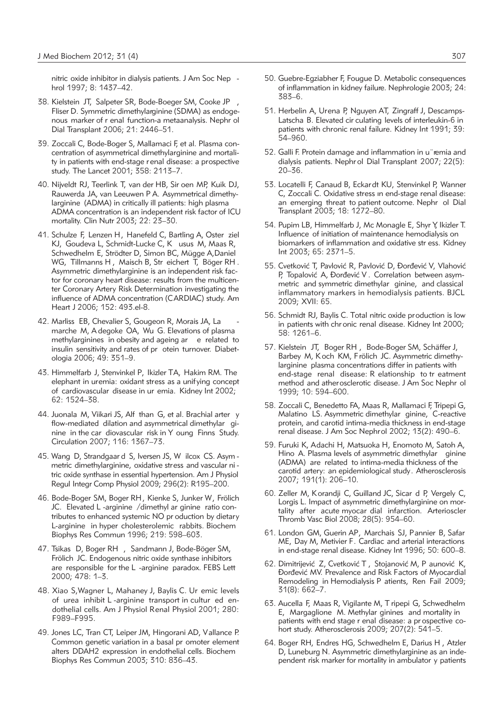nitric oxide inhibitor in dialysis patients. J Am Soc Nep hrol 1997; 8: 1437–42.

- 38. Kielstein JT, Salpeter SR, Bode-Boeger SM, Cooke JP , Fliser D. Symmetric dimethylarginine (SDMA) as endogenous marker of r enal function-a metaanalysis. Nephr ol Dial Transplant 2006; 21: 2446–51.
- 39. Zoccali C, Bode-Boger S, Mallamaci F, et al. Plasma concentration of asymmetrical dimethylarginine and mortality in patients with end-stage renal disease: a prospective study. The Lancet 2001; 358: 2113–7.
- 40. Nijveldt RJ, Teerlink T, van der HB, Sir oen MP, Kuik DJ, Rauwerda JA, van Leeuwen P A. Asymmetrical dimethylarginine (ADMA) in critically ill patients: high plasma ADMA concentration is an independent risk factor of ICU mortality. Clin Nutr 2003; 22: 23–30.
- 41. Schulze F, Lenzen H, Hanefeld C, Bartling A, Oster ziel KJ, Goudeva L, Schmidt-Lucke C, K usus M, Maas R, Schwedhelm E, Strödter D, Simon BC, Mügge A,Daniel WG, Tillmanns H , Maisch B, Str eichert T, Böger RH . Asymmetric dimethylarginine is an independent risk factor for coronary heart disease: results from the multicenter Coronary Artery Risk Determination investigating the influence of ADMA concentration (CARDIAC) study. Am Heart J 2006; 152: 493.el-8.
- 42. Marliss EB, Chevalier S, Gougeon R, Morais JA, La marche M, A degoke OA, Wu G. Elevations of plasma methylarginines in obesity and ageing ar e related to insulin sensitivity and rates of pr otein turnover. Diabetologia 2006; 49: 351–9.
- 43. Himmelfarb J, Stenvinkel P, Ikizler TA, Hakim RM. The elephant in uremia: oxidant stress as a unifying concept of cardiovascular disease in ur emia. Kidney Int 2002; 62: 1524–38.
- 44. Juonala M, Viikari JS, Alf than G, et al. Brachial arter y flow-mediated dilation and asymmetrical dimethylar ginine in the car diovascular risk in Y oung Finns Study. Circulation 2007; 116: 1367–73.
- 45. Wang D, Strandgaar d S, Iversen JS, W ilcox CS. Asym metric dimethylarginine, oxidative stress and vascular ni tric oxide synthase in essential hypertension. Am J Physiol Regul Integr Comp Physiol 2009; 296(2): R195–200.
- 46. Bode-Boger SM, Boger RH, Kienke S, Junker W, Frölich JC. Elevated L -arginine /dimethyl ar ginine ratio contributes to enhanced systemic NO pr oduction by dietary L-arginine in hyper cholesterolemic rabbits. Biochem Biophys Res Commun 1996; 219: 598–603.
- 47. Tsikas D, Boger RH , Sandmann J, Bode-Böger SM, Frölich JC. Endogenous nitric oxide synthase inhibitors are responsible for the L -arginine paradox. FEBS Lett 2000; 478: 1–3.
- 48. Xiao S,Wagner L, Mahaney J, Baylis C. Ur emic levels of urea inhibit L-arginine transport in cultur ed endothelial cells. Am J Physiol Renal Physiol 2001; 280: F989–F995.
- 49. Jones LC, Tran CT, Leiper JM, Hingorani AD, Vallance P. Common genetic variation in a basal pr omoter element alters DDAH2 expression in endothelial cells. Biochem Biophys Res Commun 2003; 310: 836–43.
- 50. Guebre-Egziabher F, Fougue D. Metabolic consequences of inflammation in kidney failure. Nephrologie 2003; 24: 383–6.
- 51. Herbelin A, Urena P, Nguyen AT, Zingraff J, Descamps-Latscha B. Elevated cir culating levels of interleukin-6 in patients with chronic renal failure. Kidney Int 1991; 39: 54–960.
- 52. Galli F. Protein damage and inflammation in u¨remia and dialysis patients. Nephr ol Dial Transplant 2007; 22(5): 20–36.
- 53. Locatelli F, Canaud B, Eckardt KU, Stenvinkel P, Wanner C, Zoccali C. Oxidative stress ın end-stage renal disease: an emerging threat to patient outcome. Nephr ol Dial Transplant 2003; 18: 1272–80.
- 54. Pupim LB, Himmelfarb J, Mc Monagle E, Shyr Y, Ikizler T. Influence of initiation of maintenance hemodialysis on biomarkers of inflammation and oxidative str ess. Kidney Int 2003; 65: 2371–5.
- 55. Cvetković T, Pavlović R, Pavlović D, Đorđević V, Vlahović P, Topalović A, Đorđević V . Correlation between asymmetric and symmetric dimethylar ginine, and classical inflam matory markers in hemodialysis patients. BJCL 2009; XVII: 65.
- 56. Schmidt RJ, Baylis C. Total nitric oxide production is low in patients with chr onic renal disease. Kidney Int 2000; 58: 1261–6.
- 57. Kielstein JT, Boger RH , Bode-Boger SM, Schäffer J, Barbey M, Koch KM, Frölich JC. Asymmetric dimethylarginine plasma concentrations differ in patients with end-stage renal disease: R elationship to tr eatment method and atherosclerotic disease. J Am Soc Nephr ol 1999; 10: 594–600.
- 58. Zoccali C, Benedetto FA, Maas R, Mallamaci F, Tripepi G, Malatino LS. Asymmetric dimethylar ginine, C-reactive protein, and carotid intima-media thickness in end-stage renal disease. J Am Soc Nephrol 2002; 13(2): 490–6.
- 59. Furuki K, Adachi H, Matsuoka H, Enomoto M, Satoh A, Hino A. Plasma levels of asymmetric dimethylar ginine (ADMA) are related to intima-media thickness of the carotid artery: an epidemiological study. Atherosclerosis 2007; 191(1): 206–10.
- 60. Zeller M, Korandji C, Guilland JC, Sicar d P, Vergely C, Lorgis L. Impact of asymmetric dimethylarginine on mortality after acute myocar dial infarction. Arterioscler Thromb Vasc Biol 2008; 28(5): 954–60.
- 61. London GM, Guerin AP, Marchais SJ, Pannier B, Safar ME, Day M, Metivier F. Cardiac and arterial interactions in end-stage renal disease. Kidney Int 1996; 50: 600–8.
- 62. Dimitrijević Z, Cvetković T, Stojanović M, P aunović K, Dorđević MV. Prevalence and Risk Factors of Myocardial Remodeling in Hemodialysis P atients, Ren Fail 2009; 31(8): 662–7.
- 63. Aucella F, Maas R, Vigilante M, T ripepi G, Schwedhelm E, Margaglione M. Methylar ginines and mortality in patients with end stage r enal disease: a prospective cohort study. Atherosclerosis 2009; 207(2): 541–5.
- 64. Boger RH, Endres HG, Schwedhelm E, Darius H , Atzler D, Luneburg N. Asymmetric dimethylarginine as an independent risk marker for mortality in ambulator y patients